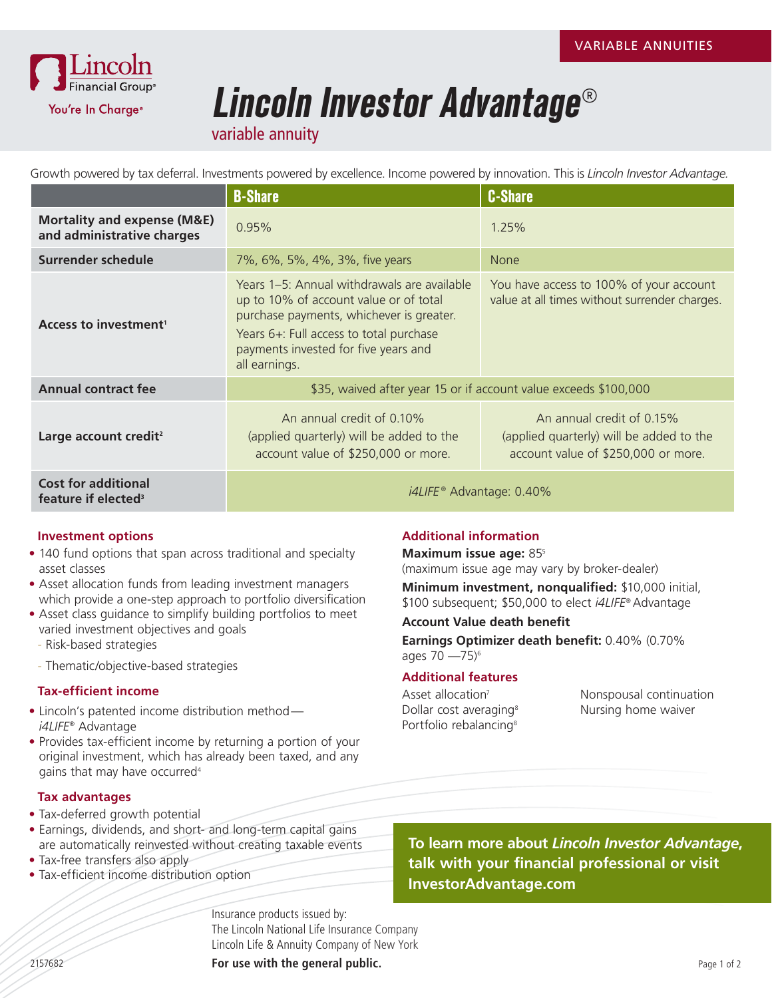

# **Lincoln Investor Advantage**®

variable annuity

Growth powered by tax deferral. Investments powered by excellence. Income powered by innovation. This is *Lincoln Investor Advantage.* 

|                                                                      | <b>B-Share</b>                                                                                                                                                                                                                        | <b>C-Share</b>                                                                                               |
|----------------------------------------------------------------------|---------------------------------------------------------------------------------------------------------------------------------------------------------------------------------------------------------------------------------------|--------------------------------------------------------------------------------------------------------------|
| <b>Mortality and expense (M&amp;E)</b><br>and administrative charges | 0.95%                                                                                                                                                                                                                                 | 1.25%                                                                                                        |
| Surrender schedule                                                   | 7%, 6%, 5%, 4%, 3%, five years                                                                                                                                                                                                        | <b>None</b>                                                                                                  |
| Access to investment <sup>1</sup>                                    | Years 1–5: Annual withdrawals are available<br>up to 10% of account value or of total<br>purchase payments, whichever is greater.<br>Years 6+: Full access to total purchase<br>payments invested for five years and<br>all earnings. | You have access to 100% of your account<br>value at all times without surrender charges.                     |
| <b>Annual contract fee</b>                                           | \$35, waived after year 15 or if account value exceeds \$100,000                                                                                                                                                                      |                                                                                                              |
| Large account credit <sup>2</sup>                                    | An annual credit of 0.10%<br>(applied quarterly) will be added to the<br>account value of \$250,000 or more.                                                                                                                          | An annual credit of 0.15%<br>(applied quarterly) will be added to the<br>account value of \$250,000 or more. |
| <b>Cost for additional</b><br>feature if elected <sup>3</sup>        | $i4$ LIFE <sup>®</sup> Advantage: 0.40%                                                                                                                                                                                               |                                                                                                              |

### **Investment options**

- 140 fund options that span across traditional and specialty asset classes
- Asset allocation funds from leading investment managers which provide a one-step approach to portfolio diversification
- Asset class guidance to simplify building portfolios to meet varied investment objectives and goals
	- Risk-based strategies
	- Thematic/objective-based strategies

### **Tax-efficient income**

- Lincoln's patented income distribution method *i4LIFE*® Advantage
- Provides tax-efficient income by returning a portion of your original investment, which has already been taxed, and any gains that may have occurred<sup>4</sup>

### **Tax advantages**

- Tax-deferred growth potential
- Earnings, dividends, and short- and long-term capital gains are automatically reinvested without creating taxable events
- Tax-free transfers also apply
- Tax-efficient income distribution option

**Additional information**

## **Maximum issue age:** 855

(maximum issue age may vary by broker-dealer)

**Minimum investment, nonqualified:** \$10,000 initial, \$100 subsequent; \$50,000 to elect *i4LIFE*® Advantage

### **Account Value death benefit**

**Earnings Optimizer death benefit:** 0.40% (0.70% ages  $70 - 75$ <sup>6</sup>

### **Additional features**

Asset allocation<sup>7</sup> Dollar cost averaging<sup>8</sup> Portfolio rebalancing<sup>8</sup>

Nonspousal continuation Nursing home waiver

## **To learn more about** *Lincoln Investor Advantage***, talk with your financial professional or visit InvestorAdvantage.com**

Insurance products issued by: The Lincoln National Life Insurance Company Lincoln Life & Annuity Company of New York

2157682 **For use with the general public.**